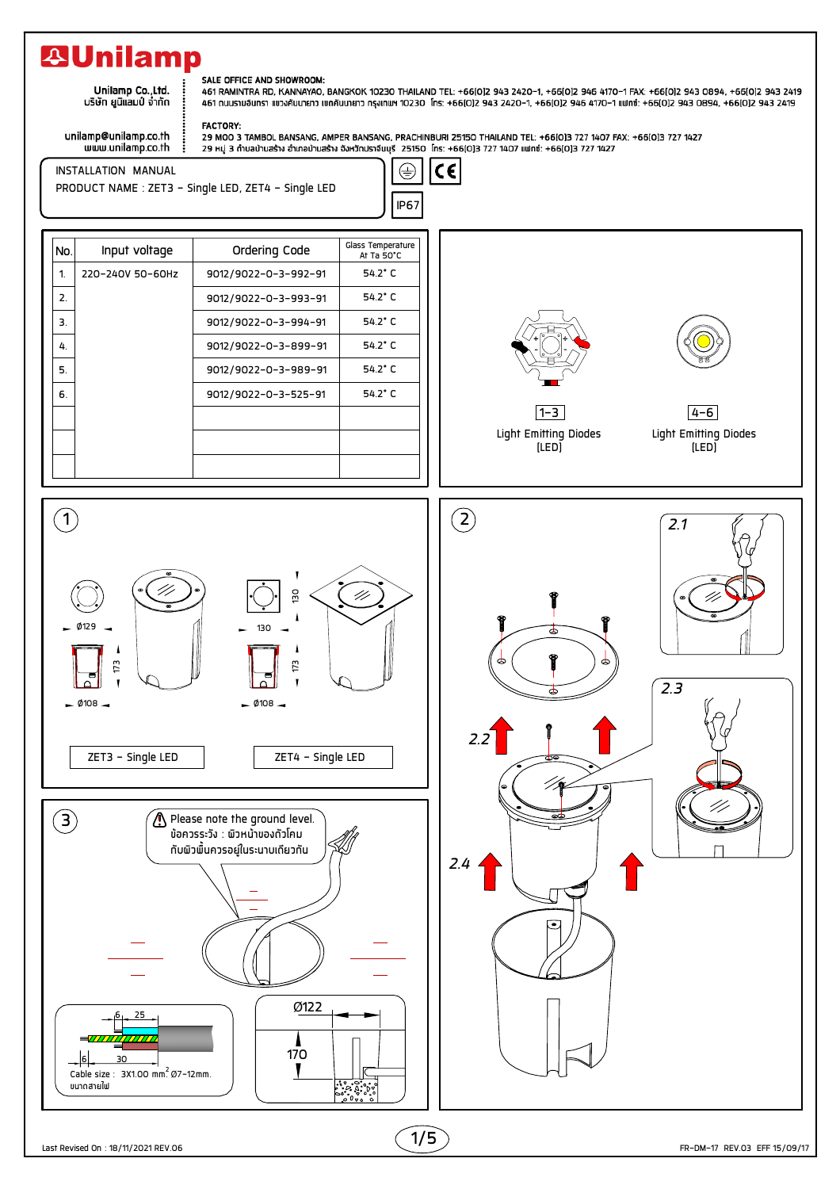## **29Unilamp**

Unilamp Co., Ltd. บริษัท ยูนิแลมป์ จำกัด

## SALE OFFICE AND SHOWROOM:

461 RAMINTRA RD, KANNAYAO, BANGKOK 10230 THAILAND TEL: +66(0)2 943 2420-1, +66(0)2 946 4170-1 FAX: +66(0)2 943 0894, +66(0)2 943 2419 461 ถนนรามอินทรา แขวงคันนายาว เขตคันนายาว กรุงเกพฯ 10230 โกร: +66(0)2 943 2420-1, +66(0)2 946 4170-1 แฟกซ์: +66(0)2 943 0894, +66(0)2 943 2419

unilamp@unilamp.co.th<br>www.unilamp.co.th

FACTORY: 

 $|{\mathsf c}\epsilon$ 

 $\oplus$ 

INSTALLATION MANUAL PRODUCT NAME : ZET3 - Single LED, ZET4 - Single LED





Light Emitting Diodes (LED)



Light Emitting Diodes (LED)  $4 - 6$ 



1/5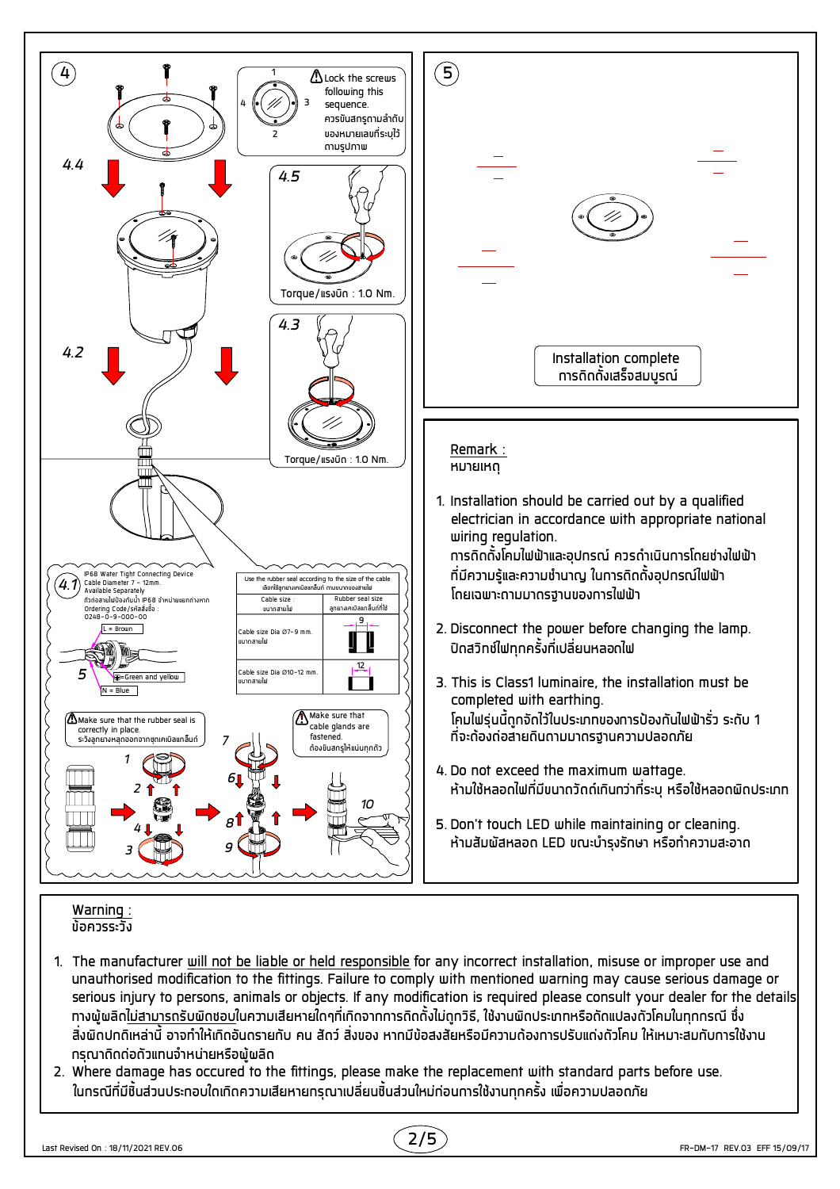

- 1. The manufacturer <u>will not be liable or held responsible</u> for any incorrect installation, misuse or improper use and unauthorised modification to the fittings. Failure to comply with mentioned warning may cause serious damage or serious injury to persons, animals or objects. If any modification is required please consult your dealer for the details. ้ทางพ้พลิดไม่สามารถรับพิดชอบในความเสียหายใดๆที่เกิดจากการติดตั้งไม่ถกวิธี, ใช้งานพิดประเภทหรือดัดแปลงดัวโคมในทกกรณี ซึ่ง สิ่งพิดปกติเหล่านี้ อาจทำให้เกิดอันดรายกับ คน สัดว์ สิ่งของ หากมีข้อสงสัยหรือมีความด้องการปรับแด่งดัวโคม ให้เหมาะสมกับการใช้งาน กรณาติดต่อตัวแทนจำหน่ายหรือพ้พลิด
- 2. Where damage has occured to the fittings, please make the replacement with standard parts before use. ในกรณีที่มีชิ้นส่วนประกอบใดเกิดความเสียหายกรุณาเปลี่ยนชิ้นส่วนใหม่ก่อนการใช้งานทุกครั้ง เพื่อความปลอดภัย

Last Revised On : 18/11/2021 REV.06

2/5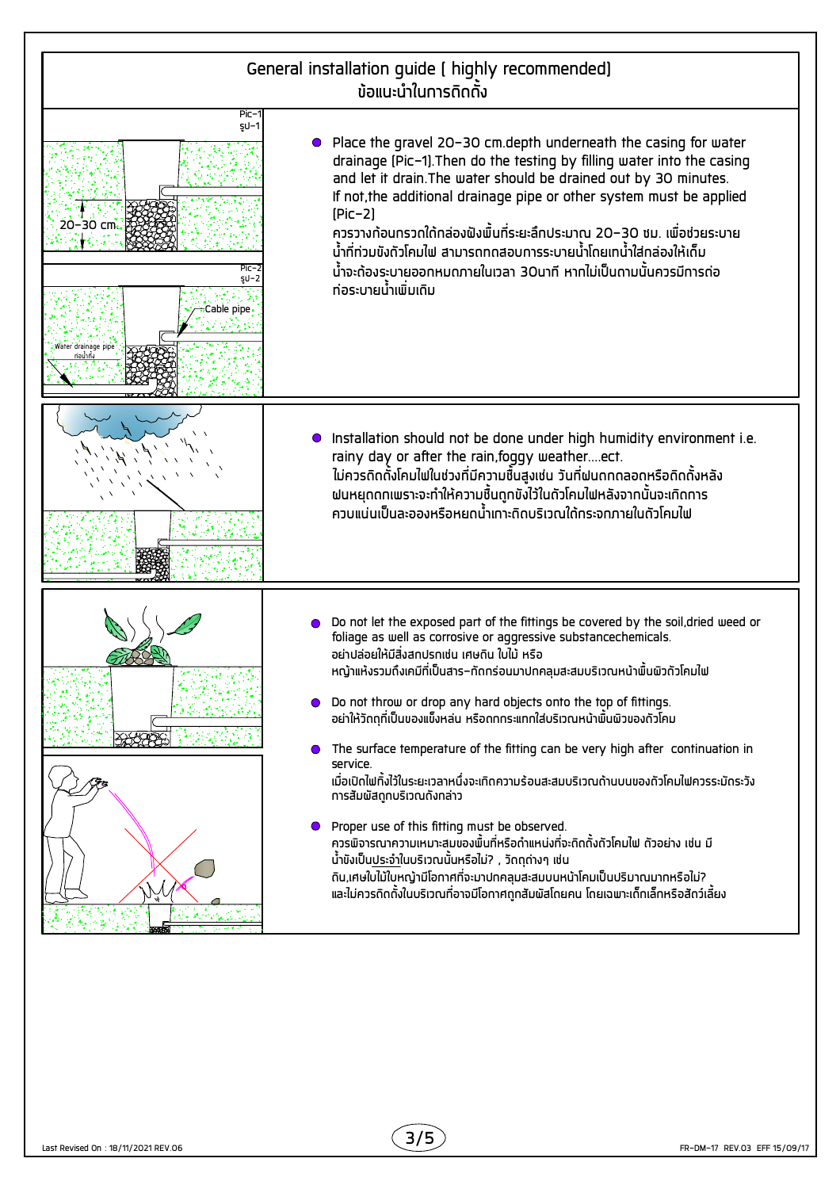

3/5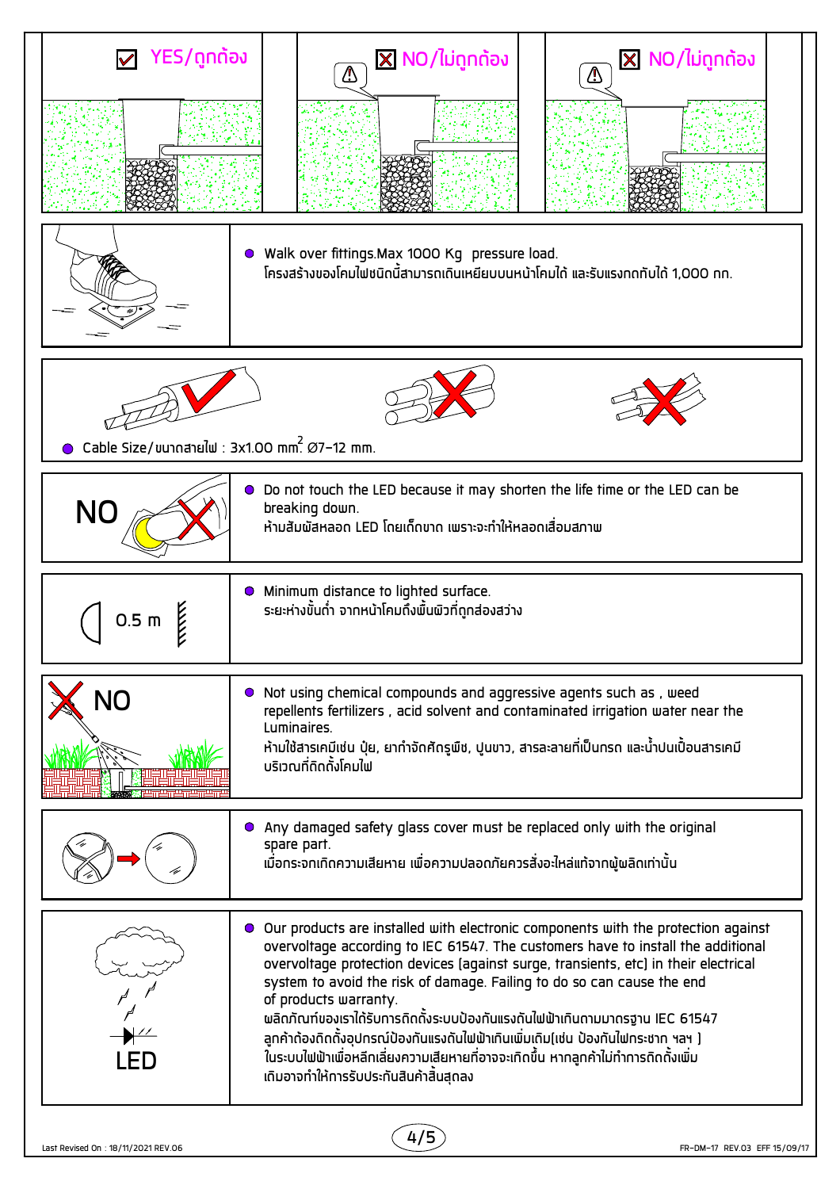| Walk over fittings. Max 1000 Kg pressure load.<br>$\bullet$<br>โครงสร้างของโคมไฟชนิดนี้สามารถเดินเหยียบบนหน้าโคมได้ และรับแรงทดทับได้ 1,000 ทท.                                                                                                                                                                                                                                                                                                                                                                                                                                                                                                                                  |  |  |
|----------------------------------------------------------------------------------------------------------------------------------------------------------------------------------------------------------------------------------------------------------------------------------------------------------------------------------------------------------------------------------------------------------------------------------------------------------------------------------------------------------------------------------------------------------------------------------------------------------------------------------------------------------------------------------|--|--|
|                                                                                                                                                                                                                                                                                                                                                                                                                                                                                                                                                                                                                                                                                  |  |  |
|                                                                                                                                                                                                                                                                                                                                                                                                                                                                                                                                                                                                                                                                                  |  |  |
| Cable Size/ขนาดสายใฟ : 3x1.00 mm. $\varnothing$ 7-12 mm.                                                                                                                                                                                                                                                                                                                                                                                                                                                                                                                                                                                                                         |  |  |
| Do not touch the LED because it may shorten the life time or the LED can be<br>breaking down.<br><b>NO</b><br>้ห้ามสัมพัสหลอด LED โดยเด็ดขาด เพราะจะทำให้หลอดเสื่อมสภาพ                                                                                                                                                                                                                                                                                                                                                                                                                                                                                                          |  |  |
| • Minimum distance to lighted surface.<br>ระยะห่างขั้นถ่ำ จากหน้าโคมถึงพื้นพิวที่ถูกส่องสว่าง<br>0.5 <sub>m</sub>                                                                                                                                                                                                                                                                                                                                                                                                                                                                                                                                                                |  |  |
| Not using chemical compounds and aggressive agents such as, weed<br>$\bullet$<br>repellents fertilizers, acid solvent and contaminated irrigation water near the<br>Luminaires.<br>้ห้ามใช้สารเคมีเช่น ปุ๋ย, ยาทำจัดศัดรูพืช, ปูนขาว, สารละลายที่เป็นกรด และน้ำปนเปื้อนสารเคมี<br>้นริเวณที่ดิดตั้งโคมใฟ                                                                                                                                                                                                                                                                                                                                                                         |  |  |
| Any damaged safety glass cover must be replaced only with the original<br>$\bullet$<br>spare part.<br>้เมื่อกระจกเกิดความเสียหาย เพื่อความปลอดภัยควรสั่งอะไหล่แท้จากผู้พลิดเท่านั้น                                                                                                                                                                                                                                                                                                                                                                                                                                                                                              |  |  |
| Our products are installed with electronic components with the protection against<br>0.<br>overvoltage according to IEC 61547. The customers have to install the additional<br>overvoltage protection devices (against surge, transients, etc) in their electrical<br>system to avoid the risk of damage. Failing to do so can cause the end<br>of products warranty.<br>พลิกภัณฑ์ของเราได้รับการถิดถั้งระบบป้องกันแรงดันไฟฟ้าเกินถามมากรฐาน IEC 61547<br>ลูกค้าถ้องถิดถั้งอุปกรณ์ป้องกันแรงกันไฟฟ้าเกินเพิ่มเถิม(เช่น ป้องกันไฟกระชาก ฯลฯ )<br>้ในระบบไฟฟ้าเพื่อหลีกเลี่ยงความเสียหายที่อาจจะเกิดขึ้น หากลูกค้าไม่ทำการถิดตั้งเพิ่ม<br>้เดิมอาจทำให้การรับประกันสินค้าสิ้นสุดลง |  |  |

 $(4/5)$